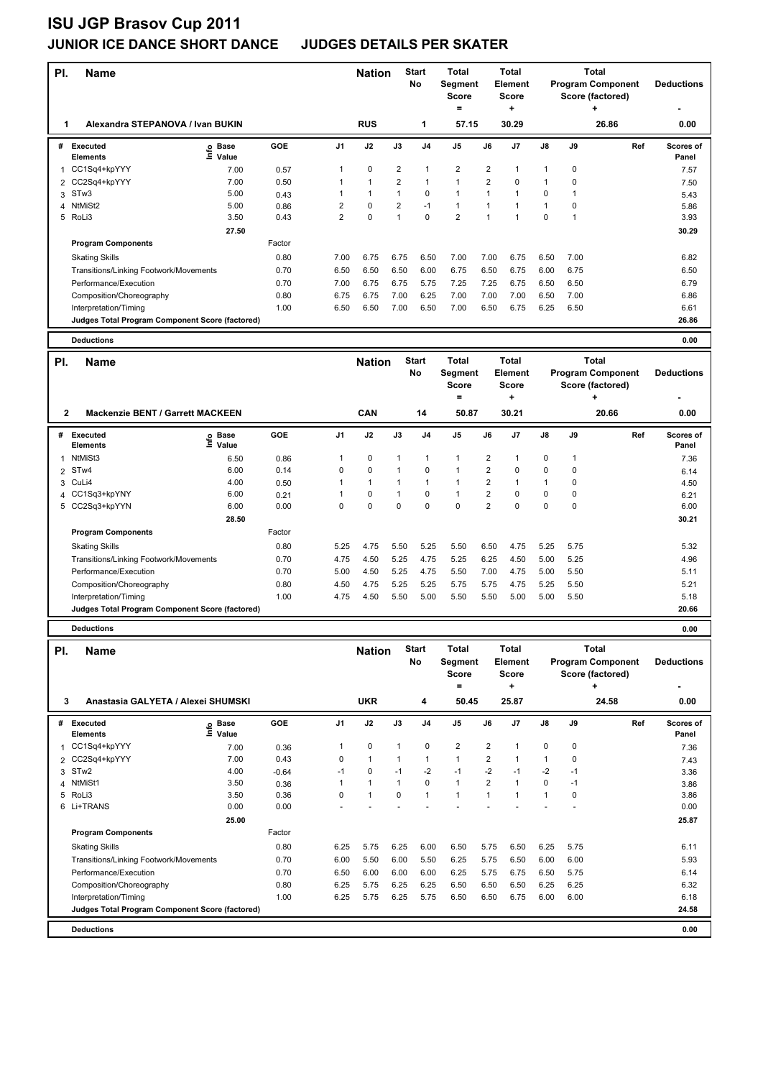| PI.            | <b>Name</b>                                     |                   |            |                | <b>Nation</b> |                | <b>Start</b><br>No | <b>Total</b><br>Segment<br><b>Score</b><br>$\equiv$   |                         | Total<br><b>Element</b><br>Score<br>٠ | <b>Total</b><br><b>Program Component</b><br>Score (factored)<br>÷ |              |                                                                           | <b>Deductions</b>  |
|----------------|-------------------------------------------------|-------------------|------------|----------------|---------------|----------------|--------------------|-------------------------------------------------------|-------------------------|---------------------------------------|-------------------------------------------------------------------|--------------|---------------------------------------------------------------------------|--------------------|
| 1              | Alexandra STEPANOVA / Ivan BUKIN                |                   |            |                | <b>RUS</b>    |                | 1                  | 57.15                                                 |                         | 30.29                                 |                                                                   |              | 26.86                                                                     | 0.00               |
| #              | <b>Executed</b><br><b>Elements</b>              | e Base<br>⊆ Value | GOE        | J1             | J2            | J3             | J <sub>4</sub>     | J5                                                    | J6                      | J7                                    | J8                                                                | J9           | Ref                                                                       | Scores of<br>Panel |
|                | 1 CC1Sq4+kpYYY                                  | 7.00              | 0.57       | 1              | 0             | 2              | 1                  | $\overline{\mathbf{c}}$                               | $\overline{\mathbf{c}}$ | 1                                     | $\mathbf 1$                                                       | 0            |                                                                           | 7.57               |
| 2              | CC2Sq4+kpYYY                                    | 7.00              | 0.50       | 1              | $\mathbf{1}$  | $\overline{2}$ | 1                  | $\mathbf{1}$                                          | $\overline{2}$          | 0                                     | $\mathbf{1}$                                                      | 0            |                                                                           | 7.50               |
|                | 3 STw3                                          | 5.00              | 0.43       | 1              | $\mathbf{1}$  | $\mathbf{1}$   | 0                  | $\mathbf{1}$                                          | $\mathbf{1}$            | 1                                     | 0                                                                 | 1            |                                                                           | 5.43               |
| 4              | NtMiSt2                                         | 5.00              | 0.86       | 2              | 0             | $\overline{2}$ | $-1$               | $\mathbf{1}$                                          | 1                       | $\mathbf{1}$                          | $\mathbf{1}$                                                      | 0            |                                                                           | 5.86               |
|                | 5 RoLi3                                         | 3.50              | 0.43       | $\overline{2}$ | 0             | $\mathbf{1}$   | 0                  | $\overline{2}$                                        | $\overline{1}$          | 1                                     | $\mathbf 0$                                                       | 1            |                                                                           | 3.93               |
|                |                                                 | 27.50             |            |                |               |                |                    |                                                       |                         |                                       |                                                                   |              |                                                                           | 30.29              |
|                | <b>Program Components</b>                       |                   | Factor     |                |               |                |                    |                                                       |                         |                                       |                                                                   |              |                                                                           |                    |
|                |                                                 |                   |            |                |               |                |                    |                                                       |                         |                                       |                                                                   |              |                                                                           |                    |
|                | <b>Skating Skills</b>                           |                   | 0.80       | 7.00           | 6.75<br>6.50  | 6.75           | 6.50               | 7.00                                                  | 7.00                    | 6.75                                  | 6.50                                                              | 7.00         |                                                                           | 6.82               |
|                | Transitions/Linking Footwork/Movements          |                   | 0.70       | 6.50           |               | 6.50           | 6.00               | 6.75                                                  | 6.50                    | 6.75                                  | 6.00                                                              | 6.75         |                                                                           | 6.50               |
|                | Performance/Execution                           |                   | 0.70       | 7.00           | 6.75          | 6.75           | 5.75               | 7.25                                                  | 7.25                    | 6.75                                  | 6.50                                                              | 6.50         |                                                                           | 6.79               |
|                | Composition/Choreography                        |                   | 0.80       | 6.75           | 6.75          | 7.00           | 6.25               | 7.00                                                  | 7.00                    | 7.00                                  | 6.50                                                              | 7.00         |                                                                           | 6.86               |
|                | Interpretation/Timing                           |                   | 1.00       | 6.50           | 6.50          | 7.00           | 6.50               | 7.00                                                  | 6.50                    | 6.75                                  | 6.25                                                              | 6.50         |                                                                           | 6.61               |
|                | Judges Total Program Component Score (factored) |                   |            |                |               |                |                    |                                                       |                         |                                       |                                                                   |              |                                                                           | 26.86              |
|                | <b>Deductions</b>                               |                   |            |                |               |                |                    |                                                       |                         |                                       |                                                                   |              |                                                                           | 0.00               |
| PI.            | <b>Name</b>                                     |                   |            |                | <b>Nation</b> |                | <b>Start</b><br>No | <b>Total</b><br><b>Segment</b><br><b>Score</b><br>$=$ |                         | <b>Total</b><br>Element<br>Score<br>٠ |                                                                   |              | <b>Total</b><br><b>Program Component</b><br>Score (factored)<br>$\ddot{}$ | <b>Deductions</b>  |
| $\mathbf{2}$   | <b>Mackenzie BENT / Garrett MACKEEN</b>         |                   |            |                | CAN           |                | 14                 | 50.87                                                 |                         | 30.21                                 |                                                                   |              | 20.66                                                                     | 0.00               |
|                |                                                 |                   |            |                |               |                |                    |                                                       |                         |                                       |                                                                   |              |                                                                           |                    |
| #              | <b>Executed</b>                                 | e Base<br>⊆ Value | <b>GOE</b> | J1             | J2            | J3             | J4                 | J5                                                    | J6                      | J7                                    | J8                                                                | J9           | Ref                                                                       | Scores of          |
|                | <b>Elements</b>                                 |                   |            |                |               |                |                    |                                                       |                         |                                       |                                                                   |              |                                                                           | Panel              |
| 1              | NtMiSt3                                         | 6.50              | 0.86       | 1              | 0             | $\mathbf{1}$   | 1                  | 1                                                     | 2                       | 1                                     | 0                                                                 | $\mathbf{1}$ |                                                                           | 7.36               |
|                | 2 STw4                                          | 6.00              | 0.14       | 0              | 0             | $\mathbf{1}$   | 0                  | $\mathbf{1}$                                          | $\overline{2}$          | 0                                     | 0                                                                 | 0            |                                                                           | 6.14               |
| 3              | CuLi4                                           | 4.00              | 0.50       | 1              | $\mathbf{1}$  | 1              | 1                  | $\mathbf{1}$                                          | $\overline{2}$          | $\mathbf{1}$                          | $\mathbf{1}$                                                      | 0            |                                                                           | 4.50               |
|                | 4 CC1Sq3+kpYNY                                  | 6.00              | 0.21       | 1              | $\pmb{0}$     | 1              | 0                  | 1                                                     | $\mathbf 2$             | 0                                     | $\pmb{0}$                                                         | 0            |                                                                           | 6.21               |
|                | 5 CC2Sq3+kpYYN                                  | 6.00              | 0.00       | 0              | 0             | 0              | 0                  | 0                                                     | $\overline{2}$          | 0                                     | 0                                                                 | 0            |                                                                           | 6.00               |
|                |                                                 | 28.50             |            |                |               |                |                    |                                                       |                         |                                       |                                                                   |              |                                                                           | 30.21              |
|                | <b>Program Components</b>                       |                   | Factor     |                |               |                |                    |                                                       |                         |                                       |                                                                   |              |                                                                           |                    |
|                | <b>Skating Skills</b>                           |                   | 0.80       | 5.25           | 4.75          | 5.50           | 5.25               | 5.50                                                  | 6.50                    | 4.75                                  | 5.25                                                              | 5.75         |                                                                           | 5.32               |
|                | Transitions/Linking Footwork/Movements          |                   | 0.70       | 4.75           | 4.50          | 5.25           | 4.75               | 5.25                                                  | 6.25                    | 4.50                                  | 5.00                                                              | 5.25         |                                                                           | 4.96               |
|                | Performance/Execution                           |                   | 0.70       | 5.00           | 4.50          | 5.25           | 4.75               | 5.50                                                  | 7.00                    | 4.75                                  | 5.00                                                              | 5.50         |                                                                           | 5.11               |
|                | Composition/Choreography                        |                   | 0.80       | 4.50           | 4.75          | 5.25           | 5.25               | 5.75                                                  | 5.75                    | 4.75                                  | 5.25                                                              | 5.50         |                                                                           | 5.21               |
|                | Interpretation/Timing                           |                   | 1.00       | 4.75           | 4.50          | 5.50           | 5.00               | 5.50                                                  | 5.50                    | 5.00                                  | 5.00                                                              | 5.50         |                                                                           | 5.18               |
|                | Judges Total Program Component Score (factored) |                   |            |                |               |                |                    |                                                       |                         |                                       |                                                                   |              |                                                                           | 20.66              |
|                | <b>Deductions</b>                               |                   |            |                |               |                |                    |                                                       |                         |                                       |                                                                   |              |                                                                           | 0.00               |
|                |                                                 |                   |            |                |               |                |                    |                                                       |                         |                                       |                                                                   |              |                                                                           |                    |
| PI.            | <b>Name</b>                                     |                   |            |                | <b>Nation</b> |                | <b>Start</b>       | <b>Total</b>                                          |                         | Total                                 |                                                                   |              | Total                                                                     |                    |
|                |                                                 |                   |            |                |               |                | No                 | Segment                                               |                         | <b>Element</b>                        |                                                                   |              | <b>Program Component</b>                                                  | <b>Deductions</b>  |
|                |                                                 |                   |            |                |               |                |                    | <b>Score</b>                                          |                         | <b>Score</b>                          |                                                                   |              | Score (factored)<br>÷                                                     |                    |
| 3              | Anastasia GALYETA / Alexei SHUMSKI              |                   |            |                | <b>UKR</b>    |                | 4                  | $\equiv$<br>50.45                                     |                         | ٠<br>25.87                            |                                                                   |              | 24.58                                                                     | 0.00               |
|                |                                                 |                   |            |                |               |                |                    |                                                       |                         |                                       |                                                                   |              |                                                                           |                    |
|                | # Executed<br><b>Elements</b>                   | e Base<br>⊆ Value | GOE        | J1             | J2            | $\mathsf{J3}$  | J4                 | J5                                                    | J6                      | J7                                    | J8                                                                | J9           | Ref                                                                       | Scores of<br>Panel |
| 1              | CC1Sq4+kpYYY                                    | 7.00              | 0.36       | 1              | 0             | $\mathbf{1}$   | 0                  | 2                                                     | $\overline{\mathbf{c}}$ | 1                                     | 0                                                                 | 0            |                                                                           | 7.36               |
| $\overline{2}$ | CC2Sq4+kpYYY                                    | 7.00              | 0.43       | 0              | $\mathbf{1}$  | 1              | 1                  | $\mathbf{1}$                                          | $\overline{2}$          | $\mathbf{1}$                          | $\mathbf{1}$                                                      | 0            |                                                                           | 7.43               |
|                | 3 STw2                                          | 4.00              | $-0.64$    | $-1$           | 0             | $-1$           | $-2$               | $-1$                                                  | $-2$                    | $-1$                                  | -2                                                                | $-1$         |                                                                           | 3.36               |
| 4              | NtMiSt1                                         | 3.50              | 0.36       | 1              | $\mathbf 1$   | $\mathbf{1}$   | 0                  | $\mathbf{1}$                                          | $\overline{\mathbf{c}}$ | $\mathbf{1}$                          | 0                                                                 | $-1$         |                                                                           | 3.86               |
|                | 5 RoLi3                                         | 3.50              | 0.36       | 0              | $\mathbf{1}$  | $\mathbf 0$    | $\mathbf{1}$       | $\mathbf{1}$                                          | $\mathbf{1}$            | $\mathbf{1}$                          | $\mathbf{1}$                                                      | $\mathbf 0$  |                                                                           | 3.86               |
|                | 6 Li+TRANS                                      | 0.00              | 0.00       |                |               |                |                    |                                                       |                         |                                       |                                                                   | ÷.           |                                                                           | 0.00               |
|                |                                                 | 25.00             |            |                |               |                |                    |                                                       |                         |                                       |                                                                   |              |                                                                           | 25.87              |
|                | <b>Program Components</b>                       |                   |            |                |               |                |                    |                                                       |                         |                                       |                                                                   |              |                                                                           |                    |
|                |                                                 |                   | Factor     |                |               |                |                    |                                                       |                         |                                       |                                                                   |              |                                                                           |                    |
|                | <b>Skating Skills</b>                           |                   | 0.80       | 6.25           | 5.75          | 6.25           | 6.00               | 6.50                                                  | 5.75                    | 6.50                                  | 6.25                                                              | 5.75         |                                                                           | 6.11               |
|                | Transitions/Linking Footwork/Movements          |                   | 0.70       | 6.00           | 5.50          | 6.00           | 5.50               | 6.25                                                  | 5.75                    | 6.50                                  | 6.00                                                              | 6.00         |                                                                           | 5.93               |
|                | Performance/Execution                           |                   | 0.70       | 6.50           | 6.00          | 6.00           | 6.00               | 6.25                                                  | 5.75                    | 6.75                                  | 6.50                                                              | 5.75         |                                                                           | 6.14               |
|                | Composition/Choreography                        |                   | 0.80       | 6.25           | 5.75          | 6.25           | 6.25               | 6.50                                                  | 6.50                    | 6.50                                  | 6.25                                                              | 6.25         |                                                                           | 6.32               |
|                | Interpretation/Timing                           |                   | 1.00       | 6.25           | 5.75          | 6.25           | 5.75               | 6.50                                                  | 6.50                    | 6.75                                  | 6.00                                                              | 6.00         |                                                                           | 6.18               |
|                | Judges Total Program Component Score (factored) |                   |            |                |               |                |                    |                                                       |                         |                                       |                                                                   |              |                                                                           | 24.58              |
|                | <b>Deductions</b>                               |                   |            |                |               |                |                    |                                                       |                         |                                       |                                                                   |              |                                                                           | 0.00               |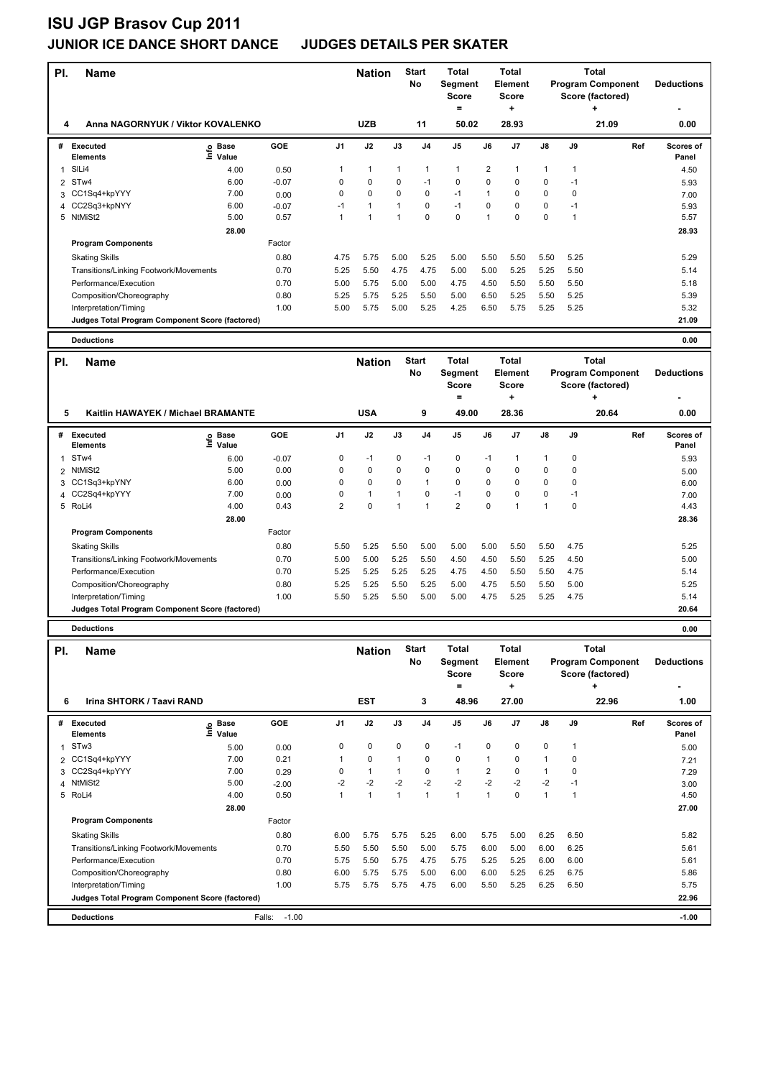| PI.          | <b>Name</b>                                                              |                   |                   |                     | <b>Nation</b> |              | <b>Start</b><br>No | Total<br>Segment<br><b>Score</b><br>$\equiv$ |                         | <b>Total</b><br><b>Element</b><br>Score<br>+ |                   | <b>Total</b><br><b>Program Component</b><br>Score (factored) |                                                              | <b>Deductions</b> |                           |
|--------------|--------------------------------------------------------------------------|-------------------|-------------------|---------------------|---------------|--------------|--------------------|----------------------------------------------|-------------------------|----------------------------------------------|-------------------|--------------------------------------------------------------|--------------------------------------------------------------|-------------------|---------------------------|
| 4            | Anna NAGORNYUK / Viktor KOVALENKO                                        |                   |                   |                     | <b>UZB</b>    |              | 11                 | 50.02                                        |                         | 28.93                                        |                   |                                                              | ÷<br>21.09                                                   |                   | 0.00                      |
| #            | Executed<br><b>Elements</b>                                              | e Base<br>⊆ Value | <b>GOE</b>        | J <sub>1</sub>      | J2            | J3           | J <sub>4</sub>     | J5                                           | J6                      | J7                                           | J8                | J9                                                           |                                                              | Ref               | <b>Scores of</b><br>Panel |
| $\mathbf{1}$ | SILi4                                                                    | 4.00              | 0.50              | 1                   | 1             | 1            | 1                  | $\mathbf{1}$                                 | 2                       | 1                                            | $\mathbf{1}$      | $\mathbf{1}$                                                 |                                                              |                   | 4.50                      |
| 2            | ST <sub>w</sub> 4                                                        | 6.00              | $-0.07$           | 0                   | 0             | 0            | $-1$               | 0                                            | 0                       | 0                                            | 0                 | $-1$                                                         |                                                              |                   | 5.93                      |
| 3            | CC1Sq4+kpYYY                                                             | 7.00              | 0.00              | 0                   | 0             | $\mathbf 0$  | 0                  | $-1$                                         | 1                       | 0                                            | $\pmb{0}$         | 0                                                            |                                                              |                   | 7.00                      |
| 4            | CC2Sq3+kpNYY                                                             | 6.00              | $-0.07$           | $-1$                | 1             | 1            | 0                  | $-1$                                         | 0                       | 0                                            | $\pmb{0}$         | $-1$                                                         |                                                              |                   | 5.93                      |
| 5            | NtMiSt2                                                                  | 5.00              | 0.57              | 1                   | 1             | 1            | 0                  | $\mathbf 0$                                  | 1                       | 0                                            | $\mathbf 0$       | $\mathbf{1}$                                                 |                                                              |                   | 5.57                      |
|              |                                                                          | 28.00             |                   |                     |               |              |                    |                                              |                         |                                              |                   |                                                              |                                                              |                   | 28.93                     |
|              | <b>Program Components</b>                                                |                   | Factor            |                     |               |              |                    |                                              |                         |                                              |                   |                                                              |                                                              |                   |                           |
|              | <b>Skating Skills</b>                                                    |                   | 0.80              | 4.75                | 5.75          | 5.00         | 5.25               | 5.00                                         | 5.50                    | 5.50                                         | 5.50              | 5.25                                                         |                                                              |                   | 5.29                      |
|              | Transitions/Linking Footwork/Movements                                   |                   | 0.70              | 5.25                | 5.50          | 4.75         | 4.75               | 5.00                                         | 5.00                    | 5.25                                         | 5.25              | 5.50                                                         |                                                              |                   | 5.14                      |
|              | Performance/Execution                                                    |                   | 0.70              | 5.00                | 5.75          | 5.00         | 5.00               | 4.75                                         | 4.50                    | 5.50                                         | 5.50              | 5.50                                                         |                                                              |                   | 5.18                      |
|              | Composition/Choreography                                                 |                   | 0.80              | 5.25                | 5.75          | 5.25         | 5.50               | 5.00                                         | 6.50                    | 5.25                                         | 5.50              | 5.25                                                         |                                                              |                   | 5.39                      |
|              | Interpretation/Timing                                                    |                   | 1.00              | 5.00                | 5.75          | 5.00         | 5.25               | 4.25                                         | 6.50                    | 5.75                                         | 5.25              | 5.25                                                         |                                                              |                   | 5.32                      |
|              | Judges Total Program Component Score (factored)                          |                   |                   |                     |               |              |                    |                                              |                         |                                              |                   |                                                              |                                                              |                   | 21.09                     |
|              | <b>Deductions</b>                                                        |                   |                   |                     |               |              |                    |                                              |                         |                                              |                   |                                                              |                                                              |                   | 0.00                      |
| PI.          | <b>Name</b>                                                              |                   |                   |                     | <b>Nation</b> |              | <b>Start</b><br>No | <b>Total</b><br>Segment<br><b>Score</b>      |                         | <b>Total</b><br>Element<br>Score             |                   |                                                              | <b>Total</b><br><b>Program Component</b><br>Score (factored) |                   | <b>Deductions</b>         |
| 5            | Kaitlin HAWAYEK / Michael BRAMANTE                                       |                   |                   |                     | <b>USA</b>    |              | 9                  | $\equiv$<br>49.00                            |                         | ÷<br>28.36                                   |                   |                                                              | ÷<br>20.64                                                   |                   | 0.00                      |
|              |                                                                          |                   |                   |                     |               |              |                    |                                              |                         |                                              |                   |                                                              |                                                              |                   |                           |
|              | # Executed<br><b>Elements</b>                                            | e Base<br>⊆ Value | GOE               | J1                  | J2            | J3           | J4                 | J5                                           | J6                      | J7                                           | J8                | J9                                                           |                                                              | Ref               | Scores of<br>Panel        |
| 1            | ST <sub>w</sub> 4                                                        | 6.00              | $-0.07$           | 0                   | $-1$          | 0            | $-1$               | 0                                            | $-1$                    | 1                                            | $\mathbf{1}$      | 0                                                            |                                                              |                   | 5.93                      |
| 2            | NtMiSt2                                                                  | 5.00              | 0.00              | 0                   | 0             | $\mathbf 0$  | 0                  | 0                                            | 0                       | 0                                            | $\pmb{0}$         | 0                                                            |                                                              |                   | 5.00                      |
|              | 3 CC1Sq3+kpYNY                                                           | 6.00              | 0.00              | $\Omega$            | 0             | $\mathbf 0$  | 1                  | 0                                            | 0                       | 0                                            | $\mathbf 0$       | 0                                                            |                                                              |                   | 6.00                      |
| 4            | CC2Sq4+kpYYY<br>5 RoLi4                                                  | 7.00<br>4.00      | 0.00<br>0.43      | 0<br>$\overline{2}$ | 1<br>0        | 1<br>1       | 0<br>1             | $-1$<br>2                                    | 0<br>0                  | 0<br>1                                       | 0<br>$\mathbf{1}$ | $-1$<br>$\mathbf 0$                                          |                                                              |                   | 7.00<br>4.43              |
|              |                                                                          |                   |                   |                     |               |              |                    |                                              |                         |                                              |                   |                                                              |                                                              |                   |                           |
|              |                                                                          | 28.00             | Factor            |                     |               |              |                    |                                              |                         |                                              |                   |                                                              |                                                              |                   | 28.36                     |
|              | <b>Program Components</b>                                                |                   |                   |                     |               |              |                    |                                              |                         |                                              |                   |                                                              |                                                              |                   |                           |
|              | <b>Skating Skills</b>                                                    |                   | 0.80              | 5.50                | 5.25          | 5.50         | 5.00               | 5.00                                         | 5.00                    | 5.50                                         | 5.50              | 4.75                                                         |                                                              |                   | 5.25                      |
|              | Transitions/Linking Footwork/Movements                                   |                   | 0.70              | 5.00                | 5.00          | 5.25         | 5.50               | 4.50                                         | 4.50                    | 5.50                                         | 5.25              | 4.50                                                         |                                                              |                   | 5.00                      |
|              | Performance/Execution                                                    |                   | 0.70              | 5.25                | 5.25          | 5.25         | 5.25               | 4.75                                         | 4.50                    | 5.50                                         | 5.50              | 4.75                                                         |                                                              |                   | 5.14                      |
|              | Composition/Choreography                                                 |                   | 0.80              | 5.25<br>5.50        | 5.25          | 5.50<br>5.50 | 5.25<br>5.00       | 5.00                                         | 4.75                    | 5.50                                         | 5.50              | 5.00                                                         |                                                              |                   | 5.25                      |
|              | Interpretation/Timing<br>Judges Total Program Component Score (factored) |                   | 1.00              |                     | 5.25          |              |                    | 5.00                                         | 4.75                    | 5.25                                         | 5.25              | 4.75                                                         |                                                              |                   | 5.14<br>20.64             |
|              |                                                                          |                   |                   |                     |               |              |                    |                                              |                         |                                              |                   |                                                              |                                                              |                   |                           |
|              | <b>Deductions</b>                                                        |                   |                   |                     |               |              |                    |                                              |                         |                                              |                   |                                                              |                                                              |                   | 0.00                      |
| PI.          | <b>Name</b>                                                              |                   |                   |                     | <b>Nation</b> |              | <b>Start</b><br>No | Total<br>Segment<br><b>Score</b><br>$=$      |                         | <b>Total</b><br>Element<br>Score<br>٠        |                   |                                                              | Total<br><b>Program Component</b><br>Score (factored)        |                   | <b>Deductions</b>         |
| 6            | Irina SHTORK / Taavi RAND                                                |                   |                   |                     | <b>EST</b>    |              | 3                  | 48.96                                        |                         | 27.00                                        |                   |                                                              | 22.96                                                        |                   | 1.00                      |
| #            | <b>Executed</b>                                                          |                   | GOE               | J1                  | J2            | J3           | J4                 | J5                                           | J6                      | J7                                           | J8                | J9                                                           |                                                              | Ref               | Scores of                 |
|              | <b>Elements</b>                                                          | e Base<br>⊑ Value |                   |                     |               |              |                    |                                              |                         |                                              |                   |                                                              |                                                              |                   | Panel                     |
| $\mathbf{1}$ | STw3                                                                     | 5.00              | 0.00              | 0                   | 0             | 0            | 0                  | $-1$                                         | 0                       | 0                                            | 0                 | $\mathbf{1}$                                                 |                                                              |                   | 5.00                      |
|              | 2 CC1Sq4+kpYYY                                                           | 7.00              | 0.21              | 1                   | 0             | $\mathbf{1}$ | 0                  | $\pmb{0}$                                    | $\mathbf{1}$            | 0                                            | $\mathbf{1}$      | 0                                                            |                                                              |                   | 7.21                      |
| 3            | CC2Sq4+kpYYY                                                             | 7.00              | 0.29              | 0                   | $\mathbf{1}$  | $\mathbf{1}$ | 0                  | $\mathbf{1}$                                 | $\overline{\mathbf{c}}$ | $\pmb{0}$                                    | $\mathbf{1}$      | 0                                                            |                                                              |                   | 7.29                      |
|              | 4 NtMiSt2                                                                | 5.00              | $-2.00$           | -2                  | $-2$          | $-2$         | $-2$               | $-2$                                         | $-2$                    | $-2$                                         | $-2$              | $-1$                                                         |                                                              |                   | 3.00                      |
|              | 5 RoLi4                                                                  | 4.00              | 0.50              | $\mathbf{1}$        | $\mathbf{1}$  | $\mathbf{1}$ | $\mathbf{1}$       | $\mathbf{1}$                                 | $\mathbf{1}$            | $\Omega$                                     | $\mathbf{1}$      | $\mathbf{1}$                                                 |                                                              |                   | 4.50                      |
|              | <b>Program Components</b>                                                | 28.00             | Factor            |                     |               |              |                    |                                              |                         |                                              |                   |                                                              |                                                              |                   | 27.00                     |
|              |                                                                          |                   |                   |                     |               |              |                    |                                              |                         |                                              |                   |                                                              |                                                              |                   |                           |
|              | <b>Skating Skills</b>                                                    |                   | 0.80              | 6.00                | 5.75          | 5.75         | 5.25               | 6.00                                         | 5.75                    | 5.00                                         | 6.25              | 6.50                                                         |                                                              |                   | 5.82                      |
|              | Transitions/Linking Footwork/Movements                                   |                   | 0.70              | 5.50                | 5.50          | 5.50         | 5.00               | 5.75                                         | 6.00                    | 5.00                                         | 6.00              | 6.25                                                         |                                                              |                   | 5.61                      |
|              | Performance/Execution                                                    |                   | 0.70              | 5.75                | 5.50          | 5.75         | 4.75               | 5.75                                         | 5.25                    | 5.25                                         | 6.00              | 6.00                                                         |                                                              |                   | 5.61                      |
|              | Composition/Choreography                                                 |                   | 0.80              | 6.00                | 5.75          | 5.75         | 5.00               | 6.00                                         | 6.00                    | 5.25                                         | 6.25              | 6.75                                                         |                                                              |                   | 5.86                      |
|              | Interpretation/Timing<br>Judges Total Program Component Score (factored) |                   | 1.00              | 5.75                | 5.75          | 5.75         | 4.75               | 6.00                                         | 5.50                    | 5.25                                         | 6.25              | 6.50                                                         |                                                              |                   | 5.75<br>22.96             |
|              |                                                                          |                   |                   |                     |               |              |                    |                                              |                         |                                              |                   |                                                              |                                                              |                   |                           |
|              | <b>Deductions</b>                                                        |                   | $-1.00$<br>Falls: |                     |               |              |                    |                                              |                         |                                              |                   |                                                              |                                                              |                   | $-1.00$                   |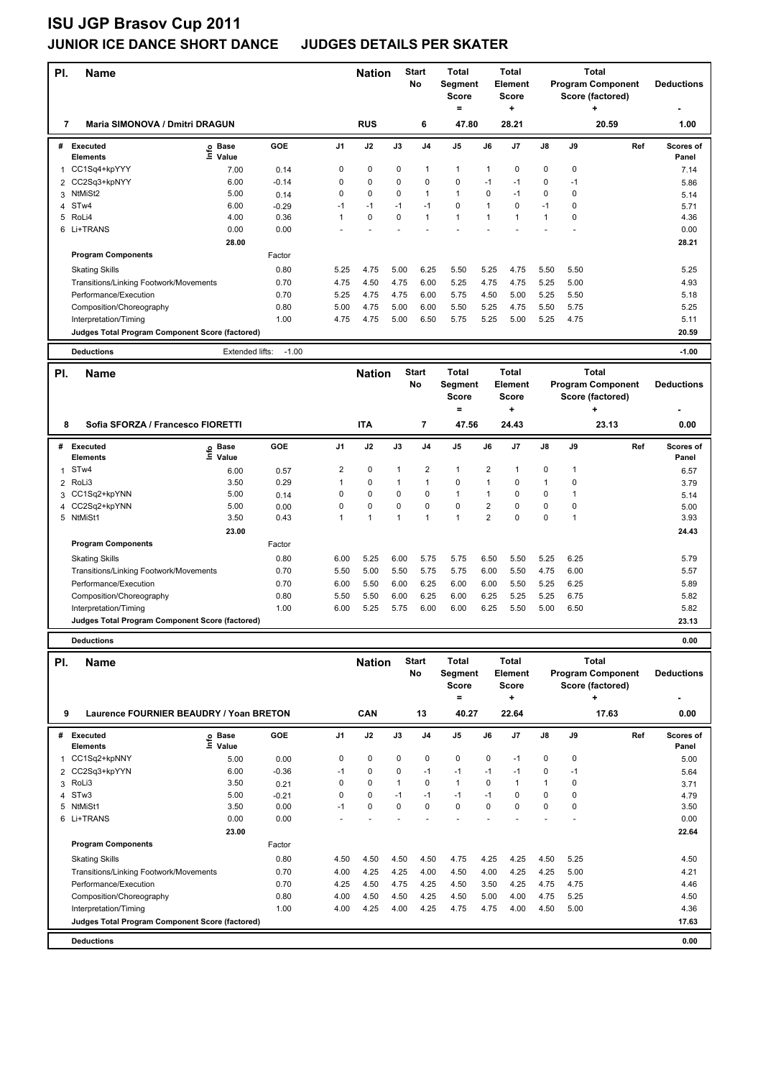|                                        | PI.<br><b>Name</b>                              |                            |         |                | <b>Start</b><br><b>Nation</b><br><b>No</b> |          | <b>Total</b><br>Segment   | <b>Total</b><br>Element |                         |                | <b>Total</b><br><b>Program Component</b> | <b>Deductions</b> |                          |                           |
|----------------------------------------|-------------------------------------------------|----------------------------|---------|----------------|--------------------------------------------|----------|---------------------------|-------------------------|-------------------------|----------------|------------------------------------------|-------------------|--------------------------|---------------------------|
|                                        |                                                 |                            |         |                |                                            |          |                           | <b>Score</b>            |                         | <b>Score</b>   |                                          |                   | Score (factored)         |                           |
|                                        |                                                 |                            |         |                |                                            |          |                           | $\equiv$                |                         | ٠              |                                          |                   | ٠                        |                           |
| 7                                      | Maria SIMONOVA / Dmitri DRAGUN                  |                            |         |                | <b>RUS</b>                                 |          | 6                         | 47.80                   |                         | 28.21          |                                          |                   | 20.59                    | 1.00                      |
| #                                      | Executed<br><b>Elements</b>                     | e Base<br>⊆ Value          | GOE     | J <sub>1</sub> | J2                                         | J3       | J <sub>4</sub>            | J <sub>5</sub>          | J6                      | J7             | J8                                       | J9                | Ref                      | <b>Scores of</b><br>Panel |
| 1                                      | CC1Sq4+kpYYY                                    | 7.00                       | 0.14    | 0              | 0                                          | 0        | $\mathbf{1}$              | $\mathbf{1}$            | 1                       | 0              | 0                                        | 0                 |                          | 7.14                      |
| $\overline{2}$                         | CC2Sq3+kpNYY                                    | 6.00                       | $-0.14$ | 0              | $\Omega$                                   | 0        | $\mathbf 0$               | $\mathbf 0$             | $-1$                    | $-1$           | 0                                        | $-1$              |                          | 5.86                      |
| 3                                      | NtMiSt2                                         | 5.00                       | 0.14    | 0              | $\mathbf 0$                                | 0        | $\mathbf{1}$              | $\mathbf{1}$            | 0                       | $-1$           | 0                                        | 0                 |                          | 5.14                      |
| 4                                      | STw4                                            | 6.00                       | $-0.29$ | $-1$           | $-1$                                       | $-1$     | $-1$                      | $\mathbf 0$             | $\mathbf{1}$            | $\Omega$       | $-1$                                     | 0                 |                          | 5.71                      |
| 5                                      | RoLi4                                           | 4.00                       | 0.36    | 1              | $\mathbf 0$                                | $\Omega$ | $\mathbf{1}$              | $\mathbf{1}$            | $\mathbf{1}$            | $\mathbf{1}$   | $\mathbf{1}$                             | 0                 |                          | 4.36                      |
|                                        | 6 Li+TRANS                                      | 0.00                       | 0.00    |                |                                            |          |                           |                         |                         |                |                                          |                   |                          | 0.00                      |
|                                        |                                                 | 28.00                      |         |                |                                            |          |                           |                         |                         |                |                                          |                   |                          | 28.21                     |
|                                        | <b>Program Components</b>                       |                            | Factor  |                |                                            |          |                           |                         |                         |                |                                          |                   |                          |                           |
|                                        | <b>Skating Skills</b>                           |                            | 0.80    | 5.25           | 4.75                                       | 5.00     | 6.25                      | 5.50                    | 5.25                    | 4.75           | 5.50                                     | 5.50              |                          | 5.25                      |
|                                        | Transitions/Linking Footwork/Movements          |                            | 0.70    | 4.75           | 4.50                                       | 4.75     | 6.00                      | 5.25                    | 4.75                    | 4.75           | 5.25                                     | 5.00              |                          | 4.93                      |
|                                        | Performance/Execution                           |                            | 0.70    | 5.25           | 4.75                                       | 4.75     | 6.00                      | 5.75                    | 4.50                    | 5.00           | 5.25                                     | 5.50              |                          | 5.18                      |
|                                        | Composition/Choreography                        |                            | 0.80    | 5.00           | 4.75                                       | 5.00     | 6.00                      | 5.50                    | 5.25                    | 4.75           | 5.50                                     | 5.75              |                          | 5.25                      |
|                                        | Interpretation/Timing                           |                            | 1.00    | 4.75           | 4.75                                       | 5.00     | 6.50                      | 5.75                    | 5.25                    | 5.00           | 5.25                                     | 4.75              |                          | 5.11                      |
|                                        | Judges Total Program Component Score (factored) |                            |         |                |                                            |          |                           |                         |                         |                |                                          |                   |                          | 20.59                     |
|                                        | <b>Deductions</b>                               | Extended lifts:            | $-1.00$ |                |                                            |          |                           |                         |                         |                |                                          |                   |                          | $-1.00$                   |
|                                        |                                                 |                            |         |                |                                            |          |                           | <b>Total</b>            |                         | <b>Total</b>   |                                          |                   | <b>Total</b>             |                           |
| PI.                                    | <b>Name</b>                                     |                            |         |                | <b>Nation</b>                              |          | <b>Start</b><br><b>No</b> |                         |                         | <b>Element</b> |                                          |                   | <b>Program Component</b> | <b>Deductions</b>         |
|                                        |                                                 |                            |         |                |                                            |          |                           | <b>Segment</b><br>Score |                         | <b>Score</b>   |                                          |                   | Score (factored)         |                           |
|                                        |                                                 |                            |         |                |                                            |          |                           | $\equiv$                |                         |                |                                          |                   | $\ddot{}$                |                           |
| Sofia SFORZA / Francesco FIORETTI<br>8 |                                                 |                            |         |                | <b>ITA</b>                                 |          | $\overline{7}$            | 47.56                   |                         | 24.43          |                                          |                   | 23.13                    | 0.00                      |
|                                        |                                                 |                            |         |                |                                            |          |                           |                         |                         |                |                                          |                   |                          |                           |
| #                                      | Executed<br><b>Elements</b>                     | e Base<br>E Value<br>Value | GOE     | J <sub>1</sub> | J2                                         | J3       | J <sub>4</sub>            | J <sub>5</sub>          | J6                      | J7             | J8                                       | J9                | Ref                      | <b>Scores of</b><br>Panel |
| 1                                      | STw4                                            | 6.00                       | 0.57    | 2              | $\pmb{0}$                                  | 1        | $\overline{\mathbf{c}}$   | $\mathbf{1}$            | $\overline{\mathbf{c}}$ | $\mathbf{1}$   | 0                                        | 1                 |                          | 6.57                      |
|                                        | 2 RoLi3                                         | 3.50                       | 0.29    | 1              | 0                                          | 1        | $\mathbf{1}$              | 0                       | 1                       | 0              | $\mathbf{1}$                             | 0                 |                          | 3.79                      |
|                                        | 3 CC1Sq2+kpYNN                                  | 5.00                       | 0.14    | 0              | $\Omega$                                   | 0        | $\mathbf 0$               | $\mathbf{1}$            | $\mathbf{1}$            | $\Omega$       | $\mathbf 0$                              | 1                 |                          | 5.14                      |
|                                        | 4 CC2Sa2+knYNN                                  | 5.00                       | 0.00    | <sup>n</sup>   | $\Omega$                                   | U        | $\Omega$                  | $\Omega$                | $\mathcal{P}$           | $\Omega$       | $\Omega$                                 | <sup>n</sup>      |                          | 5.00                      |

| PI. | <b>Name</b>                                     |                            |            |                | <b>Nation</b> |             | <b>Start</b><br>No | <b>Total</b><br>Segment<br><b>Score</b> |                | <b>Total</b><br>Element<br><b>Score</b><br>÷ |                |       | <b>Total</b><br><b>Program Component</b><br>Score (factored)<br>٠ | <b>Deductions</b>         |
|-----|-------------------------------------------------|----------------------------|------------|----------------|---------------|-------------|--------------------|-----------------------------------------|----------------|----------------------------------------------|----------------|-------|-------------------------------------------------------------------|---------------------------|
|     | Sofia SFORZA / Francesco FIORETTI<br>8          |                            |            |                | <b>ITA</b>    |             | 7                  | =<br>47.56                              |                | 24.43                                        |                | 23.13 |                                                                   | ۰<br>0.00                 |
| #   | <b>Executed</b><br><b>Elements</b>              | e Base<br>E Value<br>Value | <b>GOE</b> | J <sub>1</sub> | J2            | J3          | J <sub>4</sub>     | J <sub>5</sub>                          | J6             | J <sub>7</sub>                               | J8             | J9    | Ref                                                               | <b>Scores of</b><br>Panel |
| 1   | ST <sub>w</sub> 4                               | 6.00                       | 0.57       | 2              | 0             | 1           | $\overline{2}$     | $\overline{1}$                          | $\overline{2}$ |                                              | 0              |       |                                                                   | 6.57                      |
|     | 2 RoLi3                                         | 3.50                       | 0.29       |                | $\mathbf 0$   | 1           | 1                  | $\mathbf 0$                             |                | $\Omega$                                     | $\overline{1}$ | 0     |                                                                   | 3.79                      |
|     | 3 CC1Sq2+kpYNN                                  | 5.00                       | 0.14       | 0              | $\mathbf 0$   | $\Omega$    | 0                  | 1                                       |                | 0                                            | 0              |       |                                                                   | 5.14                      |
|     | 4 CC2Sq2+kpYNN                                  | 5.00                       | 0.00       | 0              | $\mathbf 0$   | $\mathbf 0$ | $\mathbf 0$        | $\mathbf 0$                             | $\overline{2}$ | 0                                            | $\mathbf 0$    | 0     |                                                                   | 5.00                      |
| 5   | NtMiSt1                                         | 3.50                       | 0.43       |                | 1             | 4           | 1                  | 1                                       | $\overline{2}$ | 0                                            | 0              |       |                                                                   | 3.93                      |
|     |                                                 | 23.00                      |            |                |               |             |                    |                                         |                |                                              |                |       |                                                                   | 24.43                     |
|     | <b>Program Components</b>                       |                            | Factor     |                |               |             |                    |                                         |                |                                              |                |       |                                                                   |                           |
|     | <b>Skating Skills</b>                           |                            | 0.80       | 6.00           | 5.25          | 6.00        | 5.75               | 5.75                                    | 6.50           | 5.50                                         | 5.25           | 6.25  |                                                                   | 5.79                      |
|     | Transitions/Linking Footwork/Movements          |                            | 0.70       | 5.50           | 5.00          | 5.50        | 5.75               | 5.75                                    | 6.00           | 5.50                                         | 4.75           | 6.00  |                                                                   | 5.57                      |
|     | Performance/Execution                           |                            | 0.70       | 6.00           | 5.50          | 6.00        | 6.25               | 6.00                                    | 6.00           | 5.50                                         | 5.25           | 6.25  |                                                                   | 5.89                      |
|     | Composition/Choreography                        |                            | 0.80       | 5.50           | 5.50          | 6.00        | 6.25               | 6.00                                    | 6.25           | 5.25                                         | 5.25           | 6.75  |                                                                   | 5.82                      |
|     | Interpretation/Timing                           |                            | 1.00       | 6.00           | 5.25          | 5.75        | 6.00               | 6.00                                    | 6.25           | 5.50                                         | 5.00           | 6.50  |                                                                   | 5.82                      |
|     | Judges Total Program Component Score (factored) |                            |            |                |               |             |                    |                                         |                |                                              |                | 23.13 |                                                                   |                           |

**Deductions 0.00**

| PI. | <b>Name</b>                                     |                            |         |                | <b>Nation</b> |      | <b>Start</b><br>No | <b>Total</b><br>Segment<br><b>Score</b><br>= |             | Total<br>Element<br><b>Score</b><br>٠ |                |      | Total<br><b>Program Component</b><br>Score (factored)<br>٠ | <b>Deductions</b>  |
|-----|-------------------------------------------------|----------------------------|---------|----------------|---------------|------|--------------------|----------------------------------------------|-------------|---------------------------------------|----------------|------|------------------------------------------------------------|--------------------|
|     | Laurence FOURNIER BEAUDRY / Yoan BRETON<br>9    |                            |         |                | CAN           |      | 13                 | 40.27                                        |             | 22.64                                 |                |      | 17.63                                                      | 0.00               |
| #   | Executed<br><b>Elements</b>                     | e Base<br>E Value<br>Value | GOE     | J <sub>1</sub> | J2            | J3   | J <sub>4</sub>     | J <sub>5</sub>                               | J6          | J7                                    | $\mathsf{J}8$  | J9   | Ref                                                        | Scores of<br>Panel |
| 1   | CC1Sq2+kpNNY                                    | 5.00                       | 0.00    | 0              | $\mathbf 0$   | 0    | 0                  | $\mathbf 0$                                  | $\mathbf 0$ | $-1$                                  | 0              | 0    |                                                            | 5.00               |
|     | 2 CC2Sq3+kpYYN                                  | 6.00                       | $-0.36$ | $-1$           | 0             | 0    | -1                 | $-1$                                         | $-1$        | $-1$                                  | 0              | -1   |                                                            | 5.64               |
| 3   | RoLi3                                           | 3.50                       | 0.21    | 0              | 0             |      | 0                  | $\mathbf{1}$                                 | $\Omega$    | 1                                     | $\overline{1}$ | 0    |                                                            | 3.71               |
| 4   | STw3                                            | 5.00                       | $-0.21$ | $\Omega$       | 0             | $-1$ | $-1$               | $-1$                                         | $-1$        | 0                                     | $\Omega$       | 0    |                                                            | 4.79               |
| 5   | NtMiSt1                                         | 3.50                       | 0.00    | $-1$           | $\mathbf 0$   | 0    | 0                  | $\mathbf 0$                                  | $\Omega$    | 0                                     | $\mathbf 0$    | 0    |                                                            | 3.50               |
| 6   | Li+TRANS                                        | 0.00                       | 0.00    |                |               |      |                    |                                              |             |                                       |                |      |                                                            | 0.00               |
|     |                                                 | 23.00                      |         |                |               |      |                    |                                              |             |                                       |                |      |                                                            | 22.64              |
|     | <b>Program Components</b>                       |                            | Factor  |                |               |      |                    |                                              |             |                                       |                |      |                                                            |                    |
|     | <b>Skating Skills</b>                           |                            | 0.80    | 4.50           | 4.50          | 4.50 | 4.50               | 4.75                                         | 4.25        | 4.25                                  | 4.50           | 5.25 |                                                            | 4.50               |
|     | Transitions/Linking Footwork/Movements          |                            | 0.70    | 4.00           | 4.25          | 4.25 | 4.00               | 4.50                                         | 4.00        | 4.25                                  | 4.25           | 5.00 |                                                            | 4.21               |
|     | Performance/Execution                           |                            | 0.70    | 4.25           | 4.50          | 4.75 | 4.25               | 4.50                                         | 3.50        | 4.25                                  | 4.75           | 4.75 |                                                            | 4.46               |
|     | Composition/Choreography                        |                            | 0.80    | 4.00           | 4.50          | 4.50 | 4.25               | 4.50                                         | 5.00        | 4.00                                  | 4.75           | 5.25 |                                                            | 4.50               |
|     | Interpretation/Timing                           |                            | 1.00    | 4.00           | 4.25          | 4.00 | 4.25               | 4.75                                         | 4.75        | 4.00                                  | 4.50           | 5.00 |                                                            | 4.36               |
|     | Judges Total Program Component Score (factored) |                            |         |                |               |      |                    |                                              |             |                                       |                |      |                                                            | 17.63              |
|     | <b>Deductions</b>                               |                            |         |                |               |      |                    |                                              |             |                                       |                |      |                                                            | 0.00               |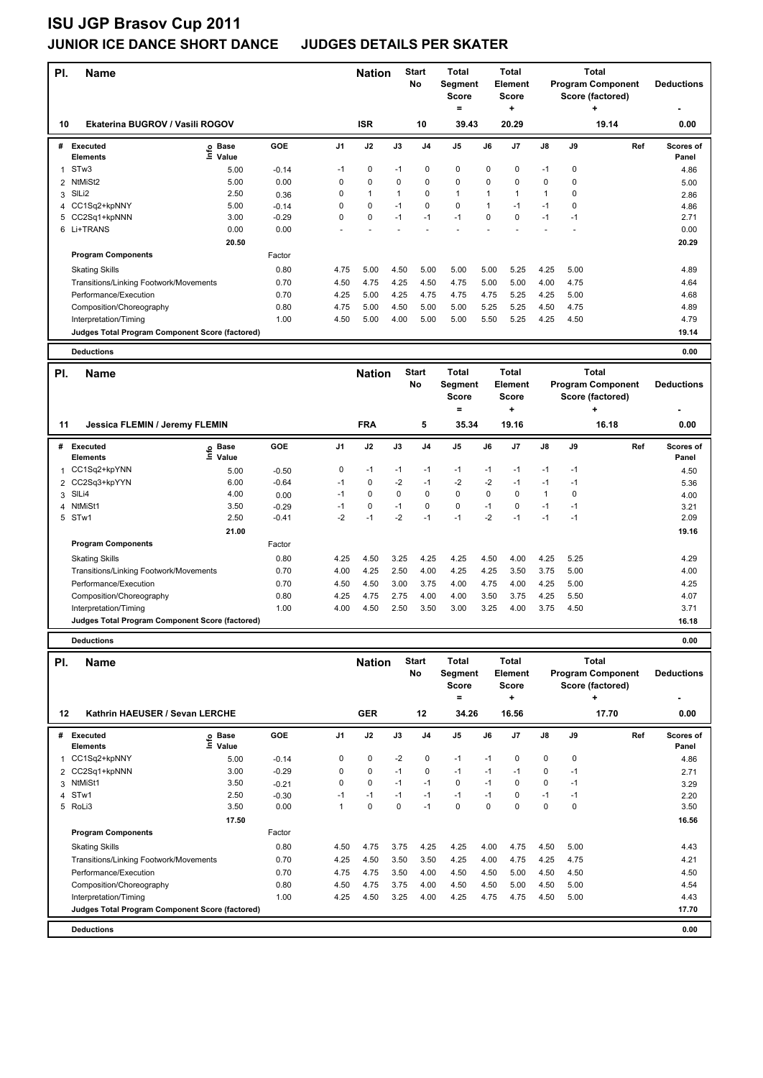| <b>Start</b><br>Total<br><b>Total</b><br>PI.<br>Name<br><b>Nation</b><br>No<br>Segment<br><b>Element</b><br><b>Score</b><br><b>Score</b><br>$\equiv$<br>÷ | <b>Total</b><br><b>Program Component</b><br><b>Deductions</b><br>Score (factored)<br>÷ |
|-----------------------------------------------------------------------------------------------------------------------------------------------------------|----------------------------------------------------------------------------------------|
|                                                                                                                                                           |                                                                                        |
| Ekaterina BUGROV / Vasili ROGOV<br><b>ISR</b><br>10<br>39.43<br>20.29<br>10                                                                               | 19.14<br>0.00                                                                          |
| GOE<br>J <sub>1</sub><br>J2<br>J3<br>J <sub>4</sub><br>J5<br>J6<br>J7<br><b>Executed</b><br>#                                                             | J8<br>J9<br>Ref<br>Scores of                                                           |
| e Base<br>⊆ Value<br>Elements                                                                                                                             | Panel                                                                                  |
| STw3<br>$\pmb{0}$<br>0<br>0<br>0<br>0<br>$-1$<br>$-1$<br>$\mathbf{1}$<br>5.00<br>$-0.14$                                                                  | 0<br>$-1$<br>4.86                                                                      |
| 0<br>$\mathbf 0$<br>$\pmb{0}$<br>0<br>0<br>NtMiSt2<br>5.00<br>0.00<br>0<br>0<br>$\overline{2}$                                                            | 0<br>0<br>5.00                                                                         |
| SILi2<br>0<br>$\mathbf{1}$<br>$\mathbf 0$<br>$\mathbf{1}$<br>$\mathbf{1}$<br>2.50<br>1<br>$\mathbf{1}$<br>3<br>0.36                                       | $\mathbf{1}$<br>0<br>2.86                                                              |
| 0<br>$\mathbf 0$<br>$\pmb{0}$<br>CC1Sq2+kpNNY<br>5.00<br>0<br>$-1$<br>1<br>$-1$<br>$-0.14$<br>4                                                           | $-1$<br>0<br>4.86                                                                      |
| 3.00<br>0<br>0<br>0<br>0<br>CC2Sq1+kpNNN<br>$-0.29$<br>$-1$<br>$-1$<br>$-1$<br>5                                                                          | $-1$<br>$-1$<br>2.71                                                                   |
| 6 Li+TRANS<br>0.00<br>0.00<br>L,                                                                                                                          | 0.00                                                                                   |
| 20.50                                                                                                                                                     | 20.29                                                                                  |
| Factor<br><b>Program Components</b>                                                                                                                       |                                                                                        |
| 0.80<br>4.75<br>5.00<br>4.50<br>5.00<br>5.00<br>5.00<br>5.25<br><b>Skating Skills</b>                                                                     | 4.25<br>5.00<br>4.89                                                                   |
| 0.70<br>4.50<br>4.75<br>4.25<br>4.50<br>4.75<br>5.00<br>5.00<br>Transitions/Linking Footwork/Movements                                                    | 4.00<br>4.75<br>4.64                                                                   |
| Performance/Execution<br>0.70<br>4.25<br>5.00<br>4.25<br>4.75<br>4.75<br>4.75<br>5.25                                                                     | 4.25<br>5.00<br>4.68                                                                   |
| 5.00<br>0.80<br>4.75<br>4.50<br>5.00<br>5.00<br>5.25<br>5.25<br>Composition/Choreography                                                                  | 4.50<br>4.75<br>4.89                                                                   |
| 1.00<br>4.50<br>5.00<br>5.00<br>5.50<br>Interpretation/Timing<br>4.00<br>5.00<br>5.25                                                                     | 4.25<br>4.50<br>4.79                                                                   |
| Judges Total Program Component Score (factored)                                                                                                           | 19.14                                                                                  |
| <b>Deductions</b>                                                                                                                                         | 0.00                                                                                   |
|                                                                                                                                                           |                                                                                        |
| <b>Start</b><br><b>Total</b><br><b>Total</b><br>PI.<br><b>Nation</b><br>Name<br>No<br>Segment<br>Element                                                  | <b>Total</b><br><b>Program Component</b><br><b>Deductions</b>                          |
| <b>Score</b><br><b>Score</b>                                                                                                                              | Score (factored)                                                                       |
| $\equiv$<br>٠                                                                                                                                             | $\ddot{}$                                                                              |
| <b>FRA</b><br>5<br>35.34<br>19.16<br>11<br>Jessica FLEMIN / Jeremy FLEMIN                                                                                 | 16.18<br>0.00                                                                          |
|                                                                                                                                                           |                                                                                        |
| GOE<br><b>Executed</b><br>J1<br>J2<br>J3<br>J4<br>J5<br>J6<br>J7<br>#<br>Base<br>o Base<br>⊆ Value<br>Elements                                            | J8<br>J9<br>Ref<br>Scores of<br>Panel                                                  |
| 0<br>CC1Sq2+kpYNN<br>-1<br>-1<br>$-1$<br>-1<br>$-1$<br>$-1$<br>5.00<br>$-0.50$<br>1                                                                       | $-1$<br>$-1$<br>4.50                                                                   |
| $\pmb{0}$<br>$-2$<br>$-2$<br>$-2$<br>2 CC2Sq3+kpYYN<br>6.00<br>$-0.64$<br>$-1$<br>$-1$<br>$-1$                                                            | $-1$<br>$-1$<br>5.36                                                                   |
| $\mathbf 0$<br>0<br>$\mathbf 0$<br>$\mathbf 0$<br>$\mathbf 0$<br>0<br>SIL <sub>i4</sub><br>4.00<br>0.00<br>$-1$<br>3                                      | $\mathbf{1}$<br>0<br>4.00                                                              |
| $\mathbf 0$<br>$\pmb{0}$<br>0<br>4 NtMiSt1<br>3.50<br>$-1$<br>0<br>$-1$<br>$-1$<br>$-0.29$                                                                | $-1$<br>$-1$<br>3.21                                                                   |
| 5 STw1<br>2.50<br>$-0.41$<br>$-2$<br>$-1$<br>$-2$<br>$-1$<br>$-1$<br>-2<br>$-1$                                                                           | $-1$<br>$-1$<br>2.09                                                                   |
| 21.00                                                                                                                                                     | 19.16                                                                                  |
| <b>Program Components</b><br>Factor                                                                                                                       |                                                                                        |
| 0.80<br>4.25<br>4.50<br>3.25<br>4.25<br>4.25<br>4.50<br>4.00<br><b>Skating Skills</b>                                                                     | 4.25<br>5.25<br>4.29                                                                   |
| Transitions/Linking Footwork/Movements<br>4.25<br>2.50<br>4.00<br>4.25<br>4.25<br>4.00<br>3.50                                                            | 3.75<br>5.00<br>4.00                                                                   |
| 0.70                                                                                                                                                      |                                                                                        |
| Performance/Execution<br>0.70<br>4.50<br>4.50<br>3.00<br>3.75<br>4.00<br>4.75<br>4.00                                                                     | 4.25<br>5.00<br>4.25                                                                   |
| 4.25<br>4.75<br>2.75<br>4.00<br>Composition/Choreography<br>0.80<br>4.00<br>3.50<br>3.75                                                                  | 4.25<br>5.50<br>4.07                                                                   |
| 1.00<br>4.00<br>4.50<br>2.50<br>3.50<br>3.00<br>3.25<br>4.00<br>Interpretation/Timing                                                                     | 3.75<br>4.50<br>3.71                                                                   |
| Judges Total Program Component Score (factored)                                                                                                           | 16.18                                                                                  |
| <b>Deductions</b>                                                                                                                                         | 0.00                                                                                   |
| Total<br><b>Start</b><br><b>Total</b><br><b>Nation</b><br>PI.<br><b>Name</b>                                                                              | <b>Total</b>                                                                           |
| No<br><b>Segment</b><br>Element                                                                                                                           | <b>Program Component</b><br><b>Deductions</b>                                          |
| <b>Score</b><br><b>Score</b>                                                                                                                              | Score (factored)                                                                       |
| $=$<br>÷                                                                                                                                                  | ٠                                                                                      |
| 12<br>Kathrin HAEUSER / Sevan LERCHE<br><b>GER</b><br>34.26<br>12<br>16.56                                                                                | 17.70<br>0.00                                                                          |

|                             |                                                       |                                        |                                                 | ----      |      | . .            |                |      |                |               |             | .   |                    |
|-----------------------------|-------------------------------------------------------|----------------------------------------|-------------------------------------------------|-----------|------|----------------|----------------|------|----------------|---------------|-------------|-----|--------------------|
| Executed<br><b>Elements</b> | Base<br>۴٥<br>Value                                   | <b>GOE</b>                             | J <sub>1</sub>                                  | J2        | J3   | J <sub>4</sub> | J <sub>5</sub> | J6   | J <sub>7</sub> | $\mathsf{J}8$ | J9          | Ref | Scores of<br>Panel |
| CC1Sq2+kpNNY                | 5.00                                                  | $-0.14$                                | 0                                               | 0         | $-2$ | 0              | $-1$           | $-1$ | 0              | 0             | $\mathbf 0$ |     | 4.86               |
|                             | 3.00                                                  | $-0.29$                                | 0                                               | $\pmb{0}$ | $-1$ | 0              | $-1$           | $-1$ | $-1$           | 0             | $-1$        |     | 2.71               |
|                             | 3.50                                                  | $-0.21$                                | 0                                               | 0         | $-1$ | $-1$           | 0              | $-1$ | 0              | 0             | $-1$        |     | 3.29               |
|                             | 2.50                                                  | $-0.30$                                | $-1$                                            | $-1$      | $-1$ | $-1$           | $-1$           | $-1$ | 0              | $-1$          | $-1$        |     | 2.20               |
|                             | 3.50                                                  | 0.00                                   |                                                 | 0         | 0    | $-1$           | 0              | 0    | 0              | 0             | $\mathbf 0$ |     | 3.50               |
|                             | 17.50                                                 |                                        |                                                 |           |      |                |                |      |                |               |             |     | 16.56              |
| <b>Program Components</b>   |                                                       | Factor                                 |                                                 |           |      |                |                |      |                |               |             |     |                    |
| <b>Skating Skills</b>       |                                                       | 0.80                                   | 4.50                                            | 4.75      | 3.75 | 4.25           | 4.25           | 4.00 | 4.75           | 4.50          | 5.00        |     | 4.43               |
|                             |                                                       | 0.70                                   | 4.25                                            | 4.50      | 3.50 | 3.50           | 4.25           | 4.00 | 4.75           | 4.25          | 4.75        |     | 4.21               |
| Performance/Execution       |                                                       | 0.70                                   | 4.75                                            | 4.75      | 3.50 | 4.00           | 4.50           | 4.50 | 5.00           | 4.50          | 4.50        |     | 4.50               |
| Composition/Choreography    |                                                       | 0.80                                   | 4.50                                            | 4.75      | 3.75 | 4.00           | 4.50           | 4.50 | 5.00           | 4.50          | 5.00        |     | 4.54               |
| Interpretation/Timing       |                                                       | 1.00                                   | 4.25                                            | 4.50      | 3.25 | 4.00           | 4.25           | 4.75 | 4.75           | 4.50          | 5.00        |     | 4.43               |
|                             |                                                       |                                        |                                                 |           |      |                |                |      |                |               |             |     | 17.70              |
| <b>Deductions</b>           |                                                       |                                        |                                                 |           |      |                |                |      |                |               |             |     | 0.00               |
|                             | #<br>2 CC2Sq1+kpNNN<br>3 NtMiSt1<br>4 STw1<br>5 RoLi3 | Transitions/Linking Footwork/Movements | Judges Total Program Component Score (factored) |           |      |                |                |      |                |               |             |     |                    |